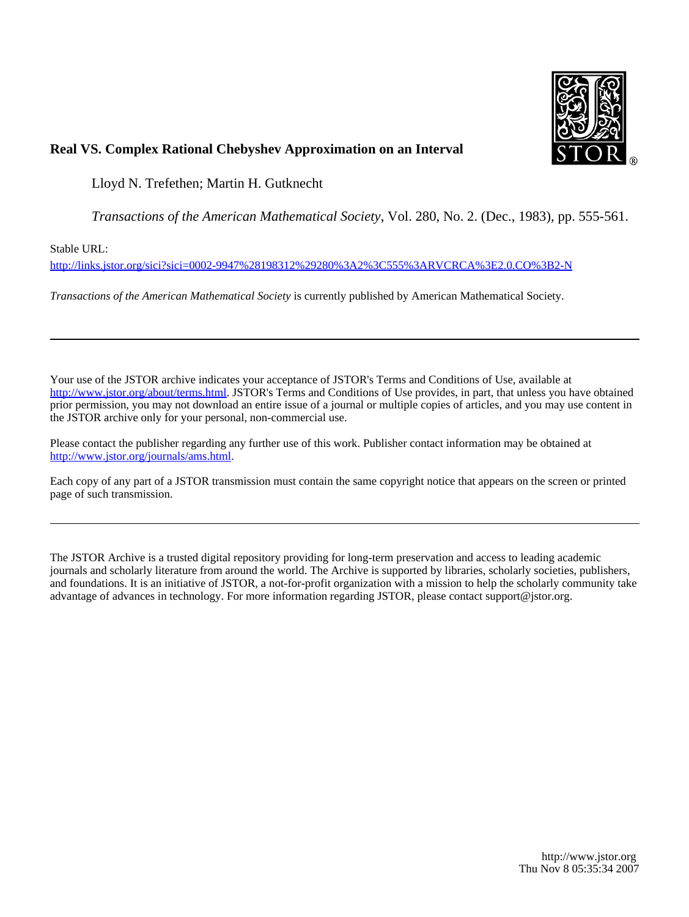

# **Real VS. Complex Rational Chebyshev Approximation on an Interval**

Lloyd N. Trefethen; Martin H. Gutknecht

*Transactions of the American Mathematical Society*, Vol. 280, No. 2. (Dec., 1983), pp. 555-561.

Stable URL:

<http://links.jstor.org/sici?sici=0002-9947%28198312%29280%3A2%3C555%3ARVCRCA%3E2.0.CO%3B2-N>

*Transactions of the American Mathematical Society* is currently published by American Mathematical Society.

Your use of the JSTOR archive indicates your acceptance of JSTOR's Terms and Conditions of Use, available at [http://www.jstor.org/about/terms.html.](http://www.jstor.org/about/terms.html) JSTOR's Terms and Conditions of Use provides, in part, that unless you have obtained prior permission, you may not download an entire issue of a journal or multiple copies of articles, and you may use content in the JSTOR archive only for your personal, non-commercial use.

Please contact the publisher regarding any further use of this work. Publisher contact information may be obtained at [http://www.jstor.org/journals/ams.html.](http://www.jstor.org/journals/ams.html)

Each copy of any part of a JSTOR transmission must contain the same copyright notice that appears on the screen or printed page of such transmission.

The JSTOR Archive is a trusted digital repository providing for long-term preservation and access to leading academic journals and scholarly literature from around the world. The Archive is supported by libraries, scholarly societies, publishers, and foundations. It is an initiative of JSTOR, a not-for-profit organization with a mission to help the scholarly community take advantage of advances in technology. For more information regarding JSTOR, please contact support@jstor.org.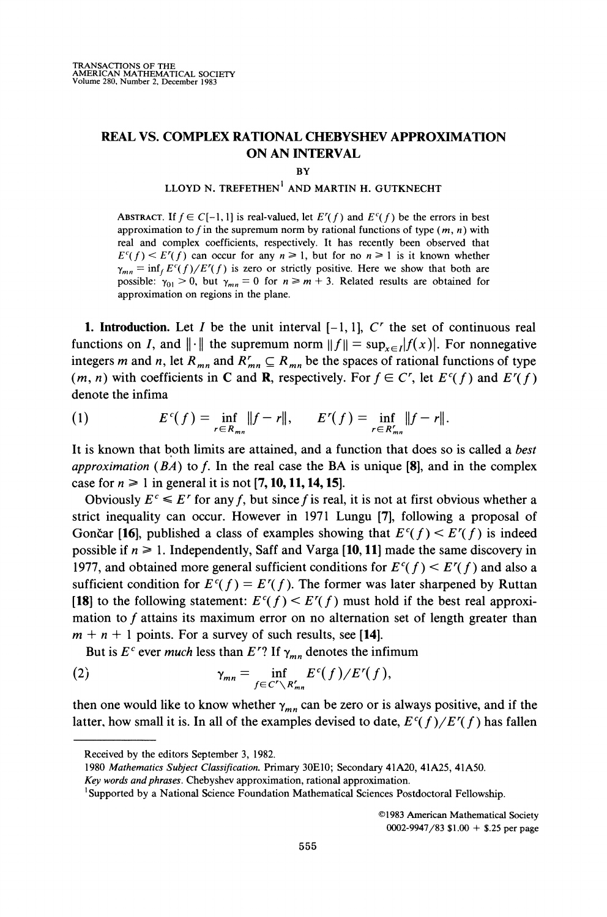## **REAL VS. COMPLEX RATIONAL CHEBYSHEV APPROXIMATION ON AN INTERVAL**

**BY** 

## **LLOYD N. TREFETHEN' AND MARTIN H. GUTKNECHT**

ABSTRACT. If  $f \in C[-1, 1]$  is real-valued, let  $E'(f)$  and  $E'(f)$  be the errors in best approximation to *f* in the supremum norm by rational functions of type *(m, n)* with real and complex coefficients, respectively. It has recently been observed that  $E^{c}(f) \leq E^{r}(f)$  can occur for any  $n \geq 1$ , but for no  $n \geq 1$  is it known whether  $\gamma_{mn} = \inf_{f} E^{c}(f)/E'(f)$  is zero or strictly positive. Here we show that both are possible:  $\gamma_{01} > 0$ , but  $\gamma_{mn} = 0$  for  $n \ge m + 3$ . Related results are obtained for approximation on regions in the plane.

**1. Introduction.** Let I be the unit interval  $[-1, 1]$ , C' the set of continuous real functions on *I*, and  $\|\cdot\|$  the supremum norm  $\|f\| = \sup_{x \in I} |f(x)|$ . For nonnegative integers *m* and *n*, let  $R_{mn}$  and  $R'_{mn} \subseteq R_{mn}$  be the spaces of rational functions of type *(m, n)* with coefficients in C and **R**, respectively. For  $f \in C^r$ , let  $E^c(f)$  and  $E^r(f)$ denote the infima

(1) 
$$
E^{c}(f) = \inf_{r \in R_{mn}} ||f - r||, \qquad E^{r}(f) = \inf_{r \in R_{mn}'} ||f - r||.
$$

It is known that both limits are attained, and a function that does so is called a *best approximation (BA)*to *f.* In the real case the BA is unique **[\$I,** and in the complex case for  $n \ge 1$  in general it is not [7, 10, 11, 14, 15].

Obviously  $E^c \leq E^r$  for any *f*, but since *f* is real, it is not at first obvious whether a strict inequality can occur. However in 1971 Lungu **[7],** following a proposal of Gončar [16], published a class of examples showing that  $E^c(f) \leq E^r(f)$  is indeed possible if  $n \ge 1$ . Independently, Saff and Varga [10, 11] made the same discovery in 1977, and obtained more general sufficient conditions for  $E^c(f) \leq E^r(f)$  and also a sufficient condition for  $E^{c}(f) = E'(f)$ . The former was later sharpened by Ruttan **[18]** to the following statement:  $E^{c}(f) \leq E^{r}(f)$  must hold if the best real approximation to *f* attains its maximum error on no alternation set of length greater than  $m + n + 1$  points. For a survey of such results, see [14].

But is  $E^c$  ever *much* less than  $E^r$ ? If  $\gamma_{mn}$  denotes the infimum

(2) 
$$
\gamma_{mn} = \inf_{f \in C' \setminus R'_{mn}} E^c(f) / E'(f),
$$

then one would like to know whether  $\gamma_{mn}$  can be zero or is always positive, and if the latter, how small it is. In all of the examples devised to date,  $E^{c}(f)/E^{r}(f)$  has fallen

**01983** American Mathematical Society **0002-9947/83** \$1.00 + **\$.25** per page

Received by the editors September **3,** 1982.

<sup>1980</sup> *Mathemarics Subject Classification.* Primary 30E10; Secondary 41A20, 41A25, 41A50.

Key words and phrases. Chebyshev approximation, rational approximation.

<sup>&#</sup>x27;Supported by a National Science Foundation Mathematical Sciences Postdoctoral Fellowship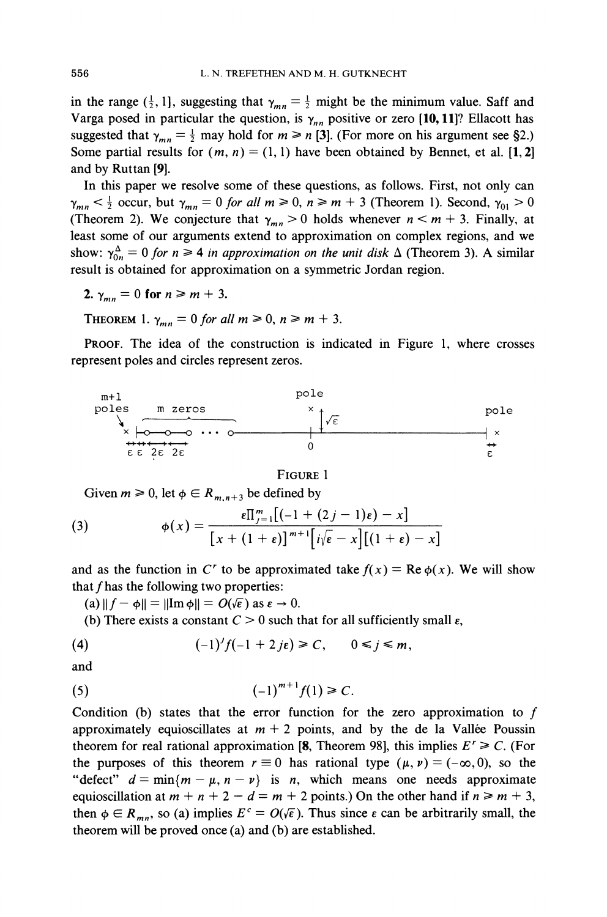in the range  $(\frac{1}{2}, 1]$ , suggesting that  $\gamma_{mn} = \frac{1}{2}$  might be the minimum value. Saff and Varga posed in particular the question, is  $\gamma_{nn}$  positive or zero [10, 11]? Ellacott has suggested that  $\gamma_{mn} = \frac{1}{2}$  may hold for  $m \ge n$  [3]. (For more on his argument see §2.) Some partial results for  $(m, n) = (1, 1)$  have been obtained by Bennet, et al. [1, 2] and by Ruttan **[9].** 

In this paper we resolve some of these questions, as follows. First, not only can  $\gamma_{mn} < \frac{1}{2}$  occur, but  $\gamma_{mn} = 0$  for all  $m \ge 0$ ,  $n \ge m + 3$  (Theorem 1). Second,  $\gamma_{01} > 0$ (Theorem 2). We conjecture that  $\gamma_{mn} > 0$  holds whenever  $n \le m + 3$ . Finally, at least some of our arguments extend to approximation on complex regions, and we show:  $\gamma_{0n}^{\Delta} = 0$  for  $n \ge 4$  *in approximation on the unit disk*  $\Delta$  (Theorem 3). A similar result is obtained for approximation on a symmetric Jordan region. Internal results for  $(m,$ <br>
Ruttan [9].<br>
Subsetence of our arguments<br>
occur, but  $\gamma_{mn} = 0$  f<br>
m 2). We conjecture<br>
me of our arguments<br>
me of our arguments<br>
obtained for approxi<br>
= 0 for  $n \ge 4$  in all<br>
obtained for appro

**2.**  $\gamma_{mn} = 0$  for  $n \ge m + 3$ .

THEOREM 1.  $\gamma_{mn} = 0$  for all  $m \ge 0$ ,  $n \ge m + 3$ .

PROOF. The idea of the construction is indicated in Figure 1, where crosses represent poles and circles represent zeros.



### FIGURE 1

Given  $m \geq 0$ , let  $\phi \in R_{m,n+3}$  be defined by

(3) 
$$
\phi(x) = \frac{\epsilon \prod_{j=1}^{m} \left[ (-1 + (2j - 1)\epsilon) - x \right]}{\left[ x + (1 + \epsilon) \right]^{m+1} \left[ i\sqrt{\epsilon} - x \right] \left[ (1 + \epsilon) - x \right]}
$$

and as the function in C' to be approximated take  $f(x) = \text{Re } \phi(x)$ . We will show that f has the following two properties:

(a)  $||f - \phi|| = ||Im \phi|| = O(\sqrt{\epsilon})$  as  $\epsilon \to 0$ .

(b) There exists a constant  $C > 0$  such that for all sufficiently small  $\varepsilon$ ,

(4) 
$$
(-1)^{j}f(-1+2j\epsilon) \geq C, \qquad 0 \leq j \leq m,
$$

and

(5) 
$$
(-1)^{m+1} f(1) \geq C.
$$

Condition (b) states that the error function for the zero approximation to  $f$ approximately equioscillates at  $m + 2$  points, and by the de la Vallée Poussin theorem for real rational approximation [8, Theorem 98], this implies  $E^r \ge C$ . (For the purposes of this theorem  $r \equiv 0$  has rational type  $(\mu, \nu) = (-\infty, 0)$ , so the "defect"  $d = min\{m - \mu, n - \nu\}$  is *n*, which means one needs approximate equioscillation at  $m + n + 2 - d = m + 2$  points.) On the other hand if  $n \ge m + 3$ , then  $\phi \in R_{mn}$ , so (a) implies  $E^c = O(\sqrt{\epsilon})$ . Thus since  $\epsilon$  can be arbitrarily small, the theorem will be proved once (a) and (b) are established.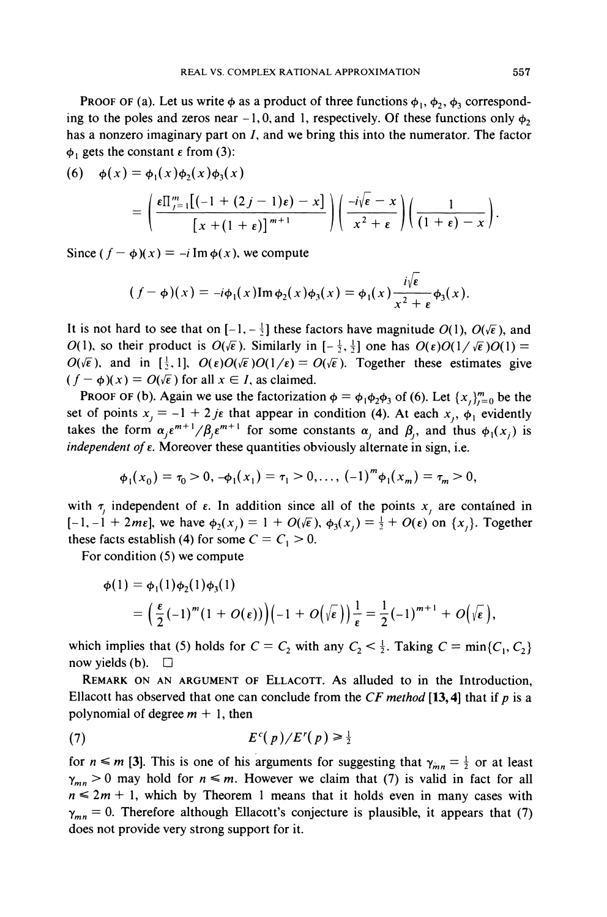**PROOF OF (a). Let us write**  $\phi$  **as a product of three functions**  $\phi_1$ **,**  $\phi_2$ **,**  $\phi_3$  **correspond**ing to the poles and zeros near  $-1, 0$ , and 1, respectively. Of these functions only  $\phi_2$ has a nonzero imaginary part on I, and we bring this into the numerator. The factor  $\phi_1$  gets the constant  $\varepsilon$  from (3):

$$
(6) \quad \phi(x) = \phi_1(x)\phi_2(x)\phi_3(x)
$$
  
= 
$$
\left(\frac{\epsilon \prod_{j=1}^m [(-1+(2j-1)\epsilon)-x]}{[x+(1+\epsilon)]^{m+1}}\right) \left(\frac{-i\sqrt{\epsilon}-x}{x^2+\epsilon}\right) \left(\frac{1}{(1+\epsilon)-x}\right).
$$

Since  $(f - \phi)(x) = -i \text{Im } \phi(x)$ , we compute

$$
(f - \phi)(x) = -i\phi_1(x) \operatorname{Im} \phi_2(x) \phi_3(x) = \phi_1(x) \frac{i\sqrt{\epsilon}}{x^2 + \epsilon} \phi_3(x).
$$

It is not hard to see that on  $[-1, -\frac{1}{2}]$  these factors have magnitude  $O(1)$ ,  $O(\sqrt{\epsilon})$ , and  $O(1)$ , so their product is  $O(\sqrt{\epsilon})$ . Similarly in  $[-\frac{1}{2},\frac{1}{2}]$  one has  $O(\epsilon)O(1/\sqrt{\epsilon})O(1)$  $O(\sqrt{\epsilon})$ , and in  $[\frac{1}{2}, 1]$ ,  $O(\epsilon)O(\sqrt{\epsilon})O(1/\epsilon) = O(\sqrt{\epsilon})$ . Together these estimates give  $(f - \phi)(x) = O(\sqrt{\epsilon})$  for all  $x \in I$ , as claimed.

PROOF OF (b). Again we use the factorization  $\phi = \phi_1 \phi_2 \phi_3$  of (6). Let  $\{x_i\}_{i=0}^m$  be the set of points  $x_j = -1 + 2j\epsilon$  that appear in condition (4). At each  $x_j$ ,  $\phi_1$  evidently takes the form  $\alpha_i e^{m+1} / \beta_i e^{m+1}$  for some constants  $\alpha_i$ , and  $\beta_i$ , and thus  $\phi_1(x_i)$  is *independent of*  $\varepsilon$ . Moreover these quantities obviously alternate in sign, i.e.

$$
\phi_1(x_0)=\tau_0>0, \, -\phi_1(x_1)=\tau_1>0, \ldots, \, (-1)^m\phi_1(x_m)=\tau_m>0,
$$

with  $\tau$ , independent of  $\varepsilon$ . In addition since all of the points  $x$ , are contained in  $[-1, -1 + 2m\epsilon]$ , we have  $\phi_2(x_i) = 1 + O(\sqrt{\epsilon})$ ,  $\phi_3(x_i) = \frac{1}{2} + O(\epsilon)$  on  $\{x_i\}$ . Together these facts establish (4) for some  $C = C_1 > 0$ .

For condition **(5)** we compute

$$
\begin{aligned} \phi(1) &= \phi_1(1)\phi_2(1)\phi_3(1) \\ &= \left(\frac{\varepsilon}{2}(-1)^m(1+O(\varepsilon))\right)\left(-1+O\bigl(\sqrt{\varepsilon}\,\bigr)\right)\frac{1}{\varepsilon} = \frac{1}{2}(-1)^{m+1} + O\bigl(\sqrt{\varepsilon}\,\bigr), \end{aligned}
$$

which implies that (5) holds for  $C = C_2$  with any  $C_2 < \frac{1}{2}$ . Taking  $C = \min\{C_1, C_2\}$ now yields (b).  $\Box$ 

REMARK ON AN ARGUMENT OF ELLACOTT. As alluded to in the Introduction, Ellacott has observed that one can conclude from the CF *method* **[13,4]** that if *p* is a polynomial of degree  $m + 1$ , then

$$
(7) \tEc(p)/Er(p) \ge \frac{1}{2}
$$

for  $n \le m$  [3]. This is one of his arguments for suggesting that  $\gamma_{mn} = \frac{1}{2}$  or at least  $\gamma_{mn} > 0$  may hold for  $n \leq m$ . However we claim that (7) is valid in fact for all  $n \leq 2m + 1$ , which by Theorem 1 means that it holds even in many cases with  $\gamma_{mn} = 0$ . Therefore although Ellacott's conjecture is plausible, it appears that (7) does not provide very strong support for it.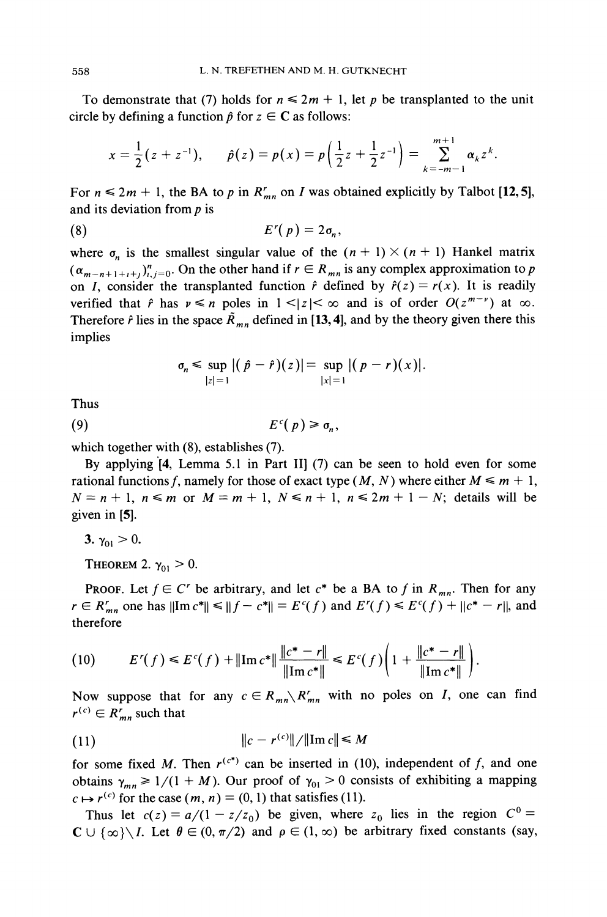To demonstrate that (7) holds for  $n \leq 2m + 1$ , let p be transplanted to the unit circle by defining a function  $\hat{p}$  for  $z \in \mathbb{C}$  as follows:

$$
x=\frac{1}{2}(z+z^{-1}), \qquad \hat{p}(z)=p(x)=p\Big(\frac{1}{2}z+\frac{1}{2}z^{-1}\Big)=\sum_{k=-m-1}^{m+1}\alpha_kz^k.
$$

For  $n \leq 2m + 1$ , the BA to p in  $R'_{mn}$  on I was obtained explicitly by Talbot [12, 5], and its deviation from  $p$  is

$$
(8) \t\t\t\t E^r(p) = 2\sigma_n,
$$

where  $\sigma_n$  is the smallest singular value of the  $(n + 1) \times (n + 1)$  Hankel matrix  $(\alpha_{m-n+1+i+1})_{i,j=0}^n$ . On the other hand if  $r \in R_{mn}$  is any complex approximation to p on *I*, consider the transplanted function  $\hat{r}$  defined by  $\hat{r}(z) = r(x)$ . It is readily verified that  $\hat{r}$  has  $v \le n$  poles in  $1 \le |z| \le \infty$  and is of order  $O(z^{m-\nu})$  at  $\infty$ . Therefore  $\hat{r}$  lies in the space  $\tilde{R}_{mn}$  defined in [13, 4], and by the theory given there this implies

$$
\sigma_n \leq \sup_{|z|=1} |(\hat{p}-\hat{r})(z)| = \sup_{|x|=1} |(p-r)(x)|.
$$

Thus

$$
(9) \t\t\t\t Ec(p) \geq \sigma_n,
$$

which together with (8), establishes (7).

By applying  $[4,$  Lemma 5.1 in Part II $]$  (7) can be seen to hold even for some rational functions f, namely for those of exact type  $(M, N)$  where either  $M \le m + 1$ ,  $N = n + 1$ ,  $n \le m$  or  $M = m + 1$ ,  $N \le n + 1$ ,  $n \le 2m + 1 - N$ ; details will be given in [5].

3.  $\gamma_{01} > 0$ .

THEOREM 2.  $\gamma_{01} > 0$ .

PROOF. Let  $f \in C^r$  be arbitrary, and let  $c^*$  be a BA to f in  $R_{mn}$ . Then for any  $r \in R'_{mn}$  one has  $||Im c^*|| \le ||f - c^*|| = E^c(f)$  and  $E^r(f) \le E^c(f) + ||c^* - r||$ , and therefore

$$
(10) \tE'(f) \leq E^{c}(f) + \|\text{Im}\,c^*\| \frac{\|c^* - r\|}{\|\text{Im}\,c^*\|} \leq E^{c}(f) \bigg(1 + \frac{\|c^* - r\|}{\|\text{Im}\,c^*\|}\bigg).
$$

Now suppose that for any  $c \in R_{mn} \backslash R'_{mn}$  with no poles on I, one can find  $r^{(c)} \in R'_{mn}$  such that

$$
(11) \t\t\t ||c - r^{(c)}|| / ||\text{Im } c|| \leq M
$$

for some fixed M. Then  $r^{(c^*)}$  can be inserted in (10), independent of f, and one obtains  $\gamma_{mn} \geq 1/(1 + M)$ . Our proof of  $\gamma_{01} > 0$  consists of exhibiting a mapping  $c \mapsto r^{(c)}$  for the case  $(m, n) = (0, 1)$  that satisfies (11).

Thus let  $c(z) = a/(1 - z/z_0)$  be given, where  $z_0$  lies in the region  $C^0 =$  $\mathbb{C} \cup \{ \infty \} \setminus I$ . Let  $\theta \in (0, \pi/2)$  and  $\rho \in (1, \infty)$  be arbitrary fixed constants (say,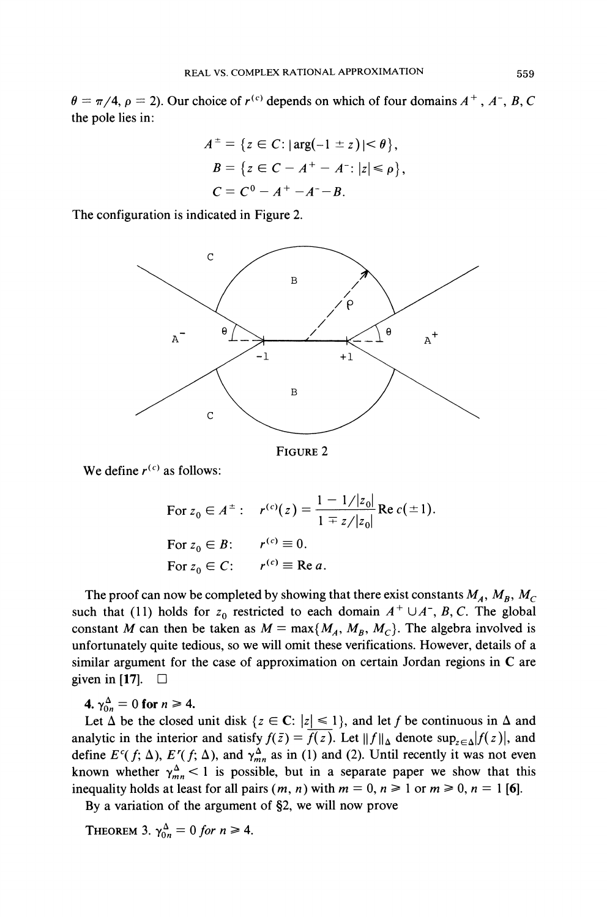$\theta = \pi/4$ ,  $\rho = 2$ ). Our choice of  $r^{(c)}$  depends on which of four domains  $A^+$ ,  $A^-$ ,  $B$ , C the pole lies in:

$$
A^{\pm} = \{ z \in C : |\arg(-1 \pm z)| < \theta \},
$$
  
\n
$$
B = \{ z \in C - A^+ - A^- : |z| \le \rho \},
$$
  
\n
$$
C = C^0 - A^+ - A^- - B.
$$

The configuration is indicated in Figure *2.* 



FIGURE*2* 

We define  $r^{(c)}$  as follows:

For 
$$
z_0 \in A^{\pm}
$$
:  $r^{(c)}(z) = \frac{1 - 1/|z_0|}{1 \mp z/|z_0|}$  Re  $c(\pm 1)$ .  
\nFor  $z_0 \in B$ :  $r^{(c)} \equiv 0$ .  
\nFor  $z_0 \in C$ :  $r^{(c)} \equiv \text{Re } a$ .

The proof can now be completed by showing that there exist constants  $M_A$ ,  $M_B$ ,  $M_C$ such that (11) holds for  $z_0$  restricted to each domain  $A^+ \cup A^-$ , B, C. The global constant *M* can then be taken as  $M = \max\{M_A, M_B, M_C\}$ . The algebra involved is unfortunately quite tedious, so we will omit these verifications. However, details of a similar argument for the case of approximation on certain Jordan regions in C are given in [17].  $\square$ 

**4.**  $\gamma_{0n}^{\Delta} = 0$  for  $n \ge 4$ .

Let  $\Delta$  be the closed unit disk  $\{z \in \mathbb{C} : |z| \leq 1\}$ , and let *f* be continuous in  $\Delta$  and analytic in the interior and satisfy  $f(\bar{z}) = \overline{f(z)}$ . Let  $||f||_{\Delta}$  denote  $\sup_{z \in \Delta} |f(z)|$ , and define  $E^c(f; \Delta)$ ,  $E^r(f; \Delta)$ , and  $\gamma_{mn}^{\Delta}$  as in (1) and (2). Until recently it was not even known whether  $\gamma_{mn}^{\Delta}$  < 1 is possible, but in a separate paper we show that this inequality holds at least for all pairs  $(m, n)$  with  $m = 0, n \ge 1$  or  $m \ge 0, n = 1$  [6].

By a variation of the argument of *52,* we will now prove

THEOREM 3.  $\gamma_{0n}^{\Delta} = 0$  for  $n \ge 4$ .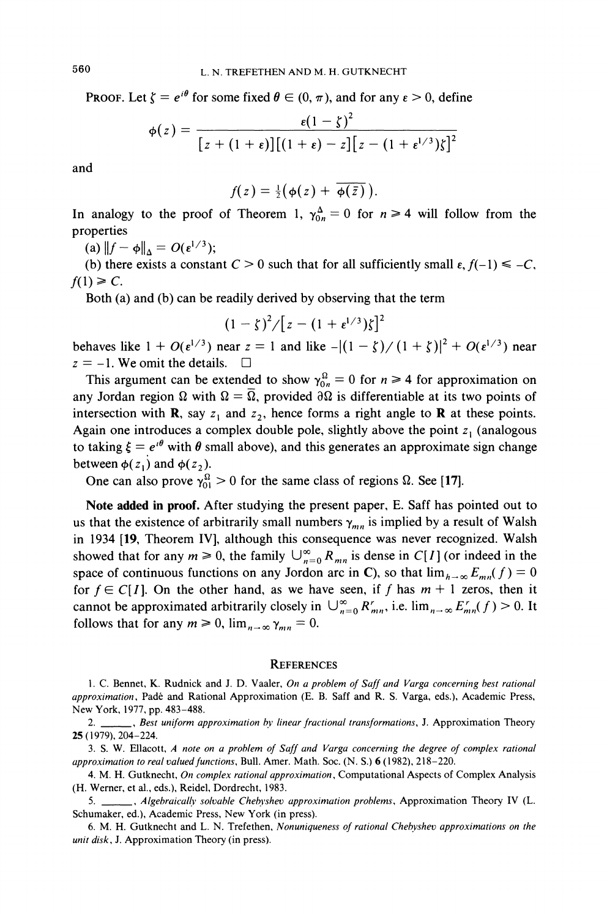**PROOF.** Let  $\zeta = e^{i\theta}$  for some fixed  $\theta \in (0, \pi)$ , and for any  $\epsilon > 0$ , define

$$
\phi(z) = \frac{\varepsilon(1-\zeta)^2}{\left[z+(1+\varepsilon)\right]\left[(1+\varepsilon)-z\right]\left[z-(1+\varepsilon^{1/3})\zeta\right]^2}
$$

and

$$
f(z)=\tfrac{1}{2}(\phi(z)+\overline{\phi(\bar{z})}).
$$

In analogy to the proof of Theorem 1,  $\gamma_{0n}^{\Delta} = 0$  for  $n \ge 4$  will follow from the properties

(a)  $||f - \phi||_{\Lambda} = O(\varepsilon^{1/3});$ 

(b) there exists a constant  $C > 0$  such that for all sufficiently small  $\varepsilon$ ,  $f(-1) \le -C$ ,  $f(1) \geq C$ .

Both (a) and (b) can be readily derived by observing that the term

$$
(1-\zeta)^2/[z-(1+\epsilon^{1/3})\zeta]^2
$$

behaves like  $1 + O(\epsilon^{1/3})$  near  $z = 1$  and like  $-[(1 - \zeta)/(1 + \zeta)]^2 + O(\epsilon^{1/3})$  near  $z = -1$ . We omit the details.  $\square$ 

This argument can be extended to show  $\gamma_{0n}^{\Omega} = 0$  for  $n \ge 4$  for approximation on any Jordan region  $\Omega$  with  $\Omega = \overline{\Omega}$ , provided  $\partial \Omega$  is differentiable at its two points of intersection with **R**, say  $z_1$  and  $z_2$ , hence forms a right angle to **R** at these points. Again one introduces a complex double pole, slightly above the point  $z<sub>1</sub>$  (analogous to taking  $\xi = e^{i\theta}$  with  $\theta$  small above), and this generates an approximate sign change between  $\phi(z_1)$  and  $\phi(z_2)$ .

One can also prove  $\gamma_{01}^{\Omega} > 0$  for the same class of regions  $\Omega$ . See [17].

**Note added in proof.** After studying the present paper, E. Saff has pointed out to us that the existence of arbitrarily small numbers  $\gamma_{mn}$  is implied by a result of Walsh in 1934 **[19,** Theorem *IV],* although this consequence was never recognized. Walsh showed that for any  $m \ge 0$ , the family  $\bigcup_{n=0}^{\infty} R_{mn}$  is dense in *C[I]* (or indeed in the space of continuous functions on any Jordon arc in C), so that  $\lim_{h\to\infty} E_{mn}(f) = 0$ for  $f \in C[I]$ . On the other hand, as we have seen, if f has  $m + 1$  zeros, then it cannot be approximated arbitrarily closely in  $\bigcup_{n=0}^{\infty} R'_{mn}$ , i.e.  $\lim_{n\to\infty} E'_{mn}(f) > 0$ . It follows that for any  $m \ge 0$ ,  $\lim_{n \to \infty} \gamma_{mn} = 0$ .

#### **REFERENCES**

<sup>1.</sup> C. Bennet, K. Rudnick and J. D. Vaaler. *On a problem of Suff and Vurgu concerning best rutionul upproximation,* Pade and Rational Approximation (E. B. Saff and R. S. Varga, eds.), Academic Press, New York, 1977, pp. 483-488.

<sup>2.</sup> \_\_\_\_\_\_, *Best uniform approximation by linear fractional transformations*, J. Approximation Theory 25 (1979). 204-224.

<sup>3.</sup> S. W. Ellacott, *A note on u problem of Suff und Vargu concerning the degree of complex rutlonal upproximation to real valued functions,* Bull. Amer. Math. Soc. (N. S.) 6 (1982), 218-220.

<sup>4.</sup> M. H. Gutknecht, *On complex rational approximation*, Computational Aspects of Complex Analysis (H. Werner, et al., eds.), Reidel, Dordrecht, 1983.

<sup>5.</sup> *, <i>Algebraically solvable Chebyshev approximation problems, Approximation Theory IV (L.* Schumaker, ed.). Academic Press, New York (in press).

<sup>6.</sup> M. H. Gutknecht and L. N. Trefethen, *Nonuniqueness of rutional Chehysheo approximations on the unit disk*, J. Approximation Theory (in press).